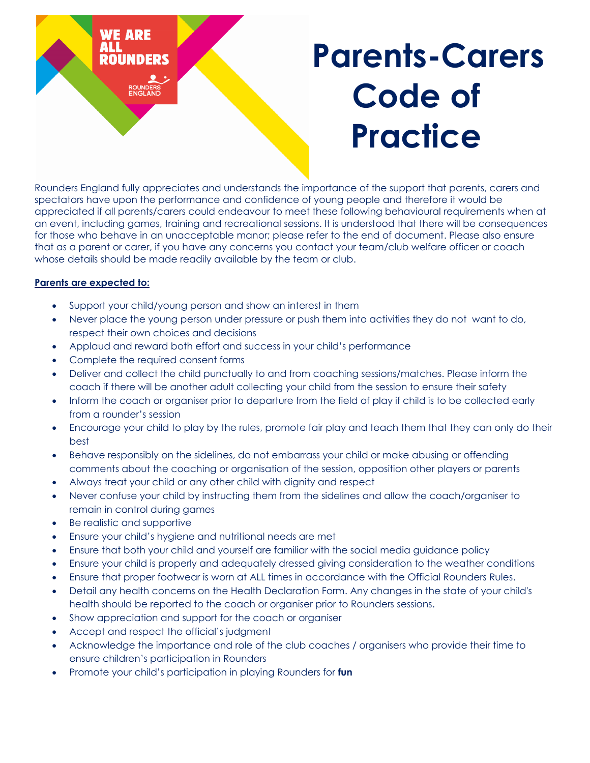

Rounders England fully appreciates and understands the importance of the support that parents, carers and spectators have upon the performance and confidence of young people and therefore it would be appreciated if all parents/carers could endeavour to meet these following behavioural requirements when at an event, including games, training and recreational sessions. It is understood that there will be consequences for those who behave in an unacceptable manor; please refer to the end of document. Please also ensure that as a parent or carer, if you have any concerns you contact your team/club welfare officer or coach whose details should be made readily available by the team or club.

## **Parents are expected to:**

- Support your child/young person and show an interest in them
- Never place the young person under pressure or push them into activities they do not want to do, respect their own choices and decisions
- Applaud and reward both effort and success in your child's performance
- Complete the required consent forms
- Deliver and collect the child punctually to and from coaching sessions/matches. Please inform the coach if there will be another adult collecting your child from the session to ensure their safety
- Inform the coach or organiser prior to departure from the field of play if child is to be collected early from a rounder's session
- Encourage your child to play by the rules, promote fair play and teach them that they can only do their best
- Behave responsibly on the sidelines, do not embarrass your child or make abusing or offending comments about the coaching or organisation of the session, opposition other players or parents
- Always treat your child or any other child with dignity and respect
- Never confuse your child by instructing them from the sidelines and allow the coach/organiser to remain in control during games
- Be realistic and supportive
- Ensure your child's hygiene and nutritional needs are met
- Ensure that both your child and yourself are familiar with the social media guidance policy
- Ensure your child is properly and adequately dressed giving consideration to the weather conditions
- Ensure that proper footwear is worn at ALL times in accordance with the Official Rounders Rules.
- Detail any health concerns on the Health Declaration Form. Any changes in the state of your child's health should be reported to the coach or organiser prior to Rounders sessions.
- Show appreciation and support for the coach or organiser
- Accept and respect the official's judgment
- Acknowledge the importance and role of the club coaches / organisers who provide their time to ensure children's participation in Rounders
- Promote your child's participation in playing Rounders for **fun**